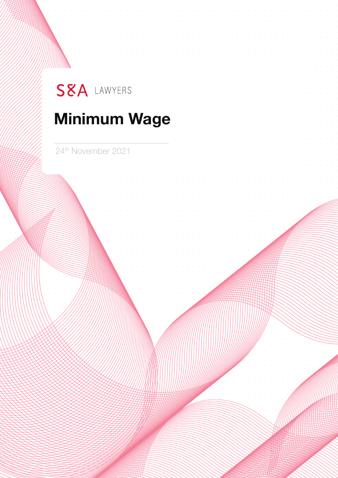# SEA LAWYERS

# **Minimum Wage**

24th November 2021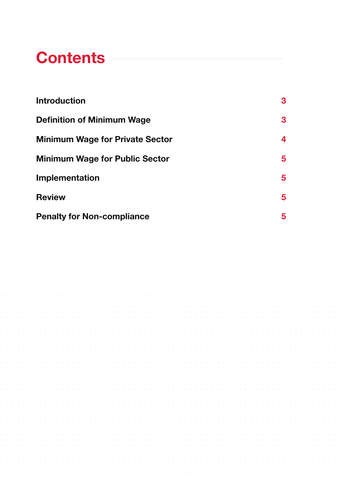### **Contents**

| <b>Introduction</b>                    | 3 |
|----------------------------------------|---|
| <b>Definition of Minimum Wage</b>      | 3 |
| <b>Minimum Wage for Private Sector</b> | 4 |
| <b>Minimum Wage for Public Sector</b>  | 5 |
| Implementation                         | 5 |
| <b>Review</b>                          | 5 |
| <b>Penalty for Non-compliance</b>      | 5 |

|                          |  | de la cardena de la cardena de la cardena de la cardena de la cardena de la cardena de la cardena de la cardena         |  |  |  |  |  |  |  |  |  |  |  |  |  |  |  |  |  |  |  |  |
|--------------------------|--|-------------------------------------------------------------------------------------------------------------------------|--|--|--|--|--|--|--|--|--|--|--|--|--|--|--|--|--|--|--|--|
|                          |  | in the company of the company of the company of the company of the company of the company of the company of the         |  |  |  |  |  |  |  |  |  |  |  |  |  |  |  |  |  |  |  |  |
| <b>Contract Contract</b> |  | de la caractería de la caractería de la caractería de la caractería de la caractería de la caractería de la caractería  |  |  |  |  |  |  |  |  |  |  |  |  |  |  |  |  |  |  |  |  |
|                          |  |                                                                                                                         |  |  |  |  |  |  |  |  |  |  |  |  |  |  |  |  |  |  |  |  |
|                          |  | a carra carra carra carra carra carra carra carra carra carra carra carra carra carra carra carra carra carra c         |  |  |  |  |  |  |  |  |  |  |  |  |  |  |  |  |  |  |  |  |
|                          |  |                                                                                                                         |  |  |  |  |  |  |  |  |  |  |  |  |  |  |  |  |  |  |  |  |
|                          |  |                                                                                                                         |  |  |  |  |  |  |  |  |  |  |  |  |  |  |  |  |  |  |  |  |
| <b>Contractor</b>        |  |                                                                                                                         |  |  |  |  |  |  |  |  |  |  |  |  |  |  |  |  |  |  |  |  |
|                          |  |                                                                                                                         |  |  |  |  |  |  |  |  |  |  |  |  |  |  |  |  |  |  |  |  |
|                          |  |                                                                                                                         |  |  |  |  |  |  |  |  |  |  |  |  |  |  |  |  |  |  |  |  |
|                          |  | in the company of the company of the company of the company of the company of the company of the company of the         |  |  |  |  |  |  |  |  |  |  |  |  |  |  |  |  |  |  |  |  |
|                          |  | a caracteristica di anticolare di anticolare di anticolare di anticolare di anticolare di anticolare di anticola        |  |  |  |  |  |  |  |  |  |  |  |  |  |  |  |  |  |  |  |  |
|                          |  |                                                                                                                         |  |  |  |  |  |  |  |  |  |  |  |  |  |  |  |  |  |  |  |  |
|                          |  |                                                                                                                         |  |  |  |  |  |  |  |  |  |  |  |  |  |  |  |  |  |  |  |  |
|                          |  |                                                                                                                         |  |  |  |  |  |  |  |  |  |  |  |  |  |  |  |  |  |  |  |  |
|                          |  | a caracteristic and a caracteristic and a caracteristic and a caracteristic and a caracteristic and a caracteristic and |  |  |  |  |  |  |  |  |  |  |  |  |  |  |  |  |  |  |  |  |
| <b>Contract Contract</b> |  |                                                                                                                         |  |  |  |  |  |  |  |  |  |  |  |  |  |  |  |  |  |  |  |  |
|                          |  |                                                                                                                         |  |  |  |  |  |  |  |  |  |  |  |  |  |  |  |  |  |  |  |  |
|                          |  |                                                                                                                         |  |  |  |  |  |  |  |  |  |  |  |  |  |  |  |  |  |  |  |  |
|                          |  | a constitution de la constitution de la constitution de la constitution de la constitution de la constitution d         |  |  |  |  |  |  |  |  |  |  |  |  |  |  |  |  |  |  |  |  |
|                          |  |                                                                                                                         |  |  |  |  |  |  |  |  |  |  |  |  |  |  |  |  |  |  |  |  |
| <b>Contract Contract</b> |  | a constitution de la constitución de la constitución de la constitución de la constitución de la constitución d         |  |  |  |  |  |  |  |  |  |  |  |  |  |  |  |  |  |  |  |  |
|                          |  |                                                                                                                         |  |  |  |  |  |  |  |  |  |  |  |  |  |  |  |  |  |  |  |  |
|                          |  |                                                                                                                         |  |  |  |  |  |  |  |  |  |  |  |  |  |  |  |  |  |  |  |  |
|                          |  |                                                                                                                         |  |  |  |  |  |  |  |  |  |  |  |  |  |  |  |  |  |  |  |  |
|                          |  |                                                                                                                         |  |  |  |  |  |  |  |  |  |  |  |  |  |  |  |  |  |  |  |  |
| <b>Contract Contract</b> |  |                                                                                                                         |  |  |  |  |  |  |  |  |  |  |  |  |  |  |  |  |  |  |  |  |
|                          |  |                                                                                                                         |  |  |  |  |  |  |  |  |  |  |  |  |  |  |  |  |  |  |  |  |
|                          |  |                                                                                                                         |  |  |  |  |  |  |  |  |  |  |  |  |  |  |  |  |  |  |  |  |
|                          |  |                                                                                                                         |  |  |  |  |  |  |  |  |  |  |  |  |  |  |  |  |  |  |  |  |
|                          |  |                                                                                                                         |  |  |  |  |  |  |  |  |  |  |  |  |  |  |  |  |  |  |  |  |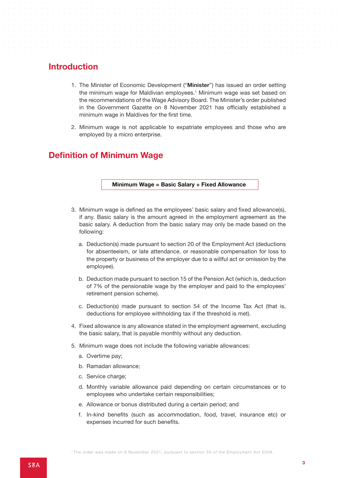#### **Introduction**

- 1. The Minister of Economic Development ("**Minister**") has issued an order setting the minimum wage for Maldivian employees.<sup>1</sup> Minimum wage was set based on the recommendations of the Wage Advisory Board. The Minister's order published in the Government Gazette on 8 November 2021 has officially established a minimum wage in Maldives for the first time.
- 2. Minimum wage is not applicable to expatriate employees and those who are employed by a micro enterprise.

#### **Definition of Minimum Wage**

#### **Minimum Wage = Basic Salary + Fixed Allowance**

- 3. Minimum wage is defined as the employees' basic salary and fixed allowance(s), if any. Basic salary is the amount agreed in the employment agreement as the basic salary. A deduction from the basic salary may only be made based on the following:
	- a. Deduction(s) made pursuant to section 20 of the Employment Act (deductions for absenteeism, or late attendance, or reasonable compensation for loss to the property or business of the employer due to a willful act or omission by the employee).
	- b. Deduction made pursuant to section 15 of the Pension Act (which is, deduction of 7% of the pensionable wage by the employer and paid to the employees' retirement pension scheme).
	- c. Deduction(s) made pursuant to section 54 of the Income Tax Act (that is, deductions for employee withholding tax if the threshold is met).
- 4. Fixed allowance is any allowance stated in the employment agreement, excluding the basic salary, that is payable monthly without any deduction.
- 5. Minimum wage does not include the following variable allowances:
	- a. Overtime pay;
	- b. Ramadan allowance;
	- c. Service charge;
	- d. Monthly variable allowance paid depending on certain circumstances or to employees who undertake certain responsibilities;
	- e. Allowance or bonus distributed during a certain period; and
	- f. In-kind benefits (such as accommodation, food, travel, insurance etc) or expenses incurred for such benefits.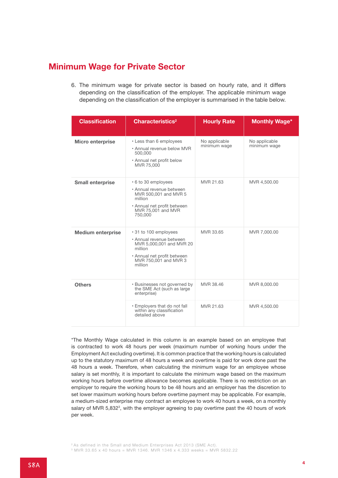#### **Minimum Wage for Private Sector**

6. The minimum wage for private sector is based on hourly rate, and it differs depending on the classification of the employer. The applicable minimum wage depending on the classification of the employer is summarised in the table below.

| <b>Classification</b>    | Characteristics <sup>2</sup>                                                                                                                                | <b>Hourly Rate</b>            | <b>Monthly Wage*</b>          |  |  |  |  |  |  |
|--------------------------|-------------------------------------------------------------------------------------------------------------------------------------------------------------|-------------------------------|-------------------------------|--|--|--|--|--|--|
| <b>Micro enterprise</b>  | • Less than 6 employees<br>• Annual revenue below MVR<br>500,000<br>• Annual net profit below<br>MVR 75,000                                                 | No applicable<br>minimum wage | No applicable<br>minimum wage |  |  |  |  |  |  |
| <b>Small enterprise</b>  | • 6 to 30 employees<br>• Annual revenue between<br>MVR 500,001 and MVR 5<br>million<br>• Annual net profit between<br>MVR 75,001 and MVR<br>750,000         | MVR 21.63                     | MVR 4,500.00                  |  |  |  |  |  |  |
| <b>Medium enterprise</b> | • 31 to 100 employees<br>• Annual revenue between<br>MVR 5,000,001 and MVR 20<br>million<br>• Annual net profit between<br>MVR 750,001 and MVR 3<br>million | MVR 33.65                     | MVR 7,000.00                  |  |  |  |  |  |  |
| <b>Others</b>            | • Businesses not governed by<br>the SME Act (such as large)<br>enterprise)                                                                                  | MVR 38.46                     | MVR 8,000.00                  |  |  |  |  |  |  |
|                          | . Employers that do not fall<br>within any classification<br>detailed above                                                                                 | MVR 21.63                     | MVR 4,500.00                  |  |  |  |  |  |  |

\*The Monthly Wage calculated in this column is an example based on an employee that is contracted to work 48 hours per week (maximum number of working hours under the Employment Act excluding overtime). It is common practice that the working hours is calculated up to the statutory maximum of 48 hours a week and overtime is paid for work done past the 48 hours a week. Therefore, when calculating the minimum wage for an employee whose salary is set monthly, it is important to calculate the minimum wage based on the maximum working hours before overtime allowance becomes applicable. There is no restriction on an employer to require the working hours to be 48 hours and an employer has the discretion to set lower maximum working hours before overtime payment may be applicable. For example, a medium-sized enterprise may contract an employee to work 40 hours a week, on a monthly salary of MVR 5,832<sup>3</sup>, with the employer agreeing to pay overtime past the 40 hours of work per week.

<sup>2</sup> As defined in the Small and Medium Enterprises Act 2013 (SME Act).

 $3$  MVR 33.65 x 40 hours = MVR 1346. MVR 1346 x 4.333 weeks = MVR 5832.22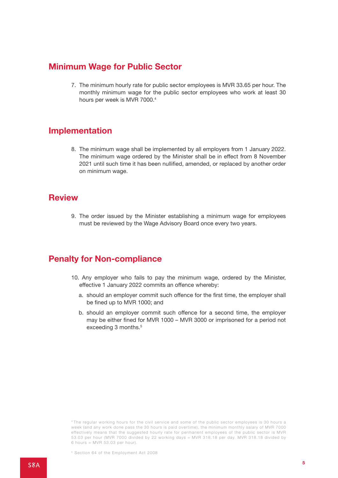#### **Minimum Wage for Public Sector**

7. The minimum hourly rate for public sector employees is MVR 33.65 per hour. The monthly minimum wage for the public sector employees who work at least 30 hours per week is MVR 7000.<sup>4</sup>

#### **Implementation**

8. The minimum wage shall be implemented by all employers from 1 January 2022. The minimum wage ordered by the Minister shall be in effect from 8 November 2021 until such time it has been nullified, amended, or replaced by another order on minimum wage.

#### **Review**

9. The order issued by the Minister establishing a minimum wage for employees must be reviewed by the Wage Advisory Board once every two years.

### **Penalty for Non-compliance**

- 10. Any employer who fails to pay the minimum wage, ordered by the Minister, effective 1 January 2022 commits an offence whereby:
	- a. should an employer commit such offence for the first time, the employer shall be fined up to MVR 1000; and
	- b. should an employer commit such offence for a second time, the employer may be either fined for MVR 1000 – MVR 3000 or imprisoned for a period not exceeding 3 months.<sup>5</sup>

<sup>4</sup> The regular working hours for the civil service and some of the public sector employees is 30 hours a week (and any work done pass the 30 hours is paid overtime), the minimum monthly salary of MVR 7000 effectively means that the suggested hourly rate for permanent employees of the public sector is MVR 53.03 per hour (MVR 7000 divided by 22 working days = MVR 318.18 per day. MVR 318.18 divided by 6 hours =  $MVR$  53.03 per hour).